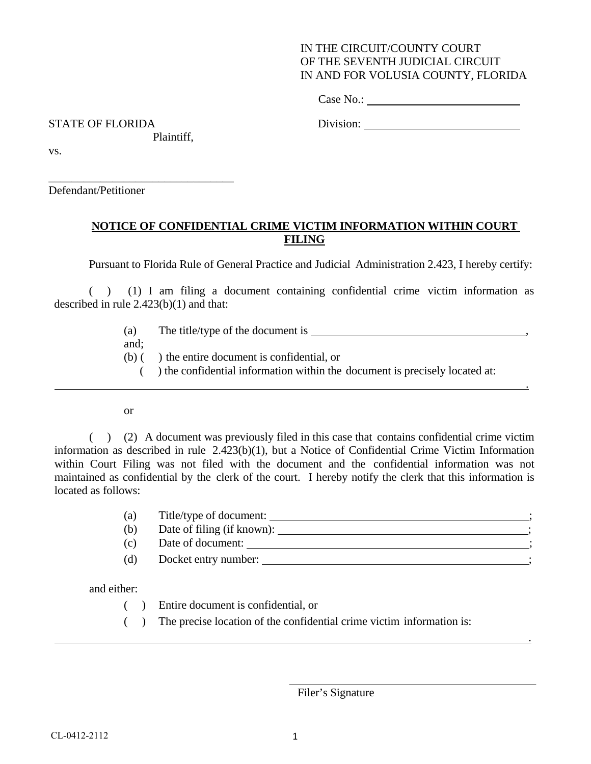## IN THE CIRCUIT/COUNTY COURT OF THE SEVENTH JUDICIAL CIRCUIT IN AND FOR VOLUSIA COUNTY, FLORIDA

Case No.:

STATE OF FLORIDA Division:

.

.

Plaintiff,

\_\_\_\_\_\_\_\_\_\_\_\_\_\_\_\_\_\_\_\_\_\_\_\_\_\_\_\_\_\_\_\_

vs.

Defendant/Petitioner

## **NOTICE OF CONFIDENTIAL CRIME VICTIM INFORMATION WITHIN COURT FILING**

Pursuant to Florida Rule of General Practice and Judicial Administration 2.423, I hereby certify:

( ) (1) I am filing a document containing confidential crime victim information as described in rule 2.423(b)(1) and that:

- (a) The title/type of the document is ,
- and;
- (b) ( ) the entire document is confidential, or
	- ( ) the confidential information within the document is precisely located at:

or

( ) (2) A document was previously filed in this case that contains confidential crime victim information as described in rule 2.423(b)(1), but a Notice of Confidential Crime Victim Information within Court Filing was not filed with the document and the confidential information was not maintained as confidential by the clerk of the court. I hereby notify the clerk that this information is located as follows:

| (a) | Title/type of document:    |  |
|-----|----------------------------|--|
|     |                            |  |
| (b) | Date of filing (if known): |  |
| (c) | Date of document:          |  |

(d) Docket entry number: ;

and either:

- ( ) Entire document is confidential, or
- ( ) The precise location of the confidential crime victim information is:

Filer's Signature